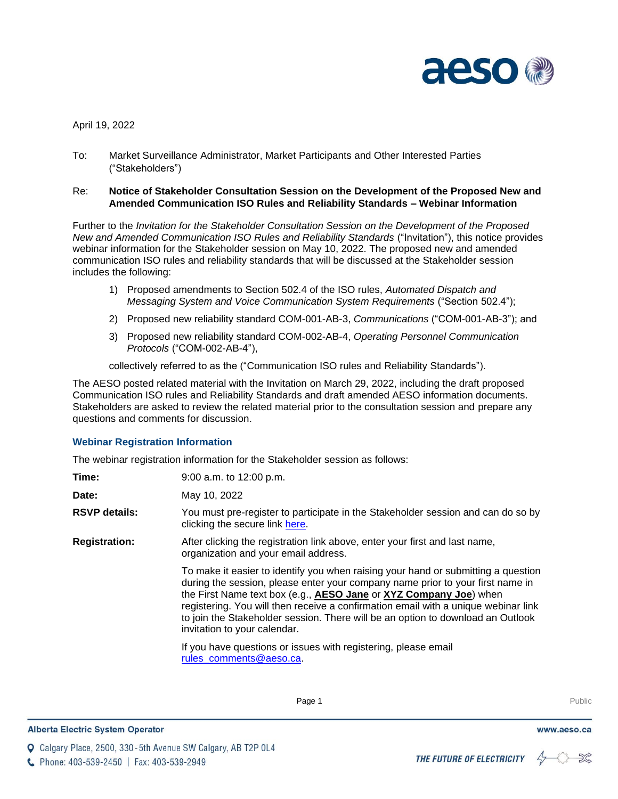

April 19, 2022

To: Market Surveillance Administrator, Market Participants and Other Interested Parties ("Stakeholders")

## Re: **Notice of Stakeholder Consultation Session on the Development of the Proposed New and Amended Communication ISO Rules and Reliability Standards – Webinar Information**

Further to the *Invitation for the Stakeholder Consultation Session on the Development of the Proposed New and Amended Communication ISO Rules and Reliability Standards* ("Invitation"), this notice provides webinar information for the Stakeholder session on May 10, 2022. The proposed new and amended communication ISO rules and reliability standards that will be discussed at the Stakeholder session includes the following:

- 1) Proposed amendments to Section 502.4 of the ISO rules, *Automated Dispatch and Messaging System and Voice Communication System Requirements* ("Section 502.4");
- 2) Proposed new reliability standard COM-001-AB-3, *Communications* ("COM-001-AB-3"); and
- 3) Proposed new reliability standard COM-002-AB-4, *Operating Personnel Communication Protocols* ("COM-002-AB-4"),

collectively referred to as the ("Communication ISO rules and Reliability Standards").

The AESO posted related material with the Invitation on March 29, 2022, including the draft proposed Communication ISO rules and Reliability Standards and draft amended AESO information documents. Stakeholders are asked to review the related material prior to the consultation session and prepare any questions and comments for discussion.

## **Webinar Registration Information**

The webinar registration information for the Stakeholder session as follows:

| Time:                | 9:00 a.m. to 12:00 p.m.                                                                                                                                                                                                                                                                                                                                                                                                                           |
|----------------------|---------------------------------------------------------------------------------------------------------------------------------------------------------------------------------------------------------------------------------------------------------------------------------------------------------------------------------------------------------------------------------------------------------------------------------------------------|
| Date:                | May 10, 2022                                                                                                                                                                                                                                                                                                                                                                                                                                      |
| <b>RSVP details:</b> | You must pre-register to participate in the Stakeholder session and can do so by<br>clicking the secure link here.                                                                                                                                                                                                                                                                                                                                |
| <b>Registration:</b> | After clicking the registration link above, enter your first and last name,<br>organization and your email address.                                                                                                                                                                                                                                                                                                                               |
|                      | To make it easier to identify you when raising your hand or submitting a question<br>during the session, please enter your company name prior to your first name in<br>the First Name text box (e.g., AESO Jane or XYZ Company Joe) when<br>registering. You will then receive a confirmation email with a unique webinar link<br>to join the Stakeholder session. There will be an option to download an Outlook<br>invitation to your calendar. |
|                      | If you have questions or issues with registering, please email<br>rules comments@aeso.ca.                                                                                                                                                                                                                                                                                                                                                         |

**Q** Calgary Place, 2500, 330-5th Avenue SW Calgary, AB T2P 0L4

C Phone: 403-539-2450 | Fax: 403-539-2949



www.aeso.ca